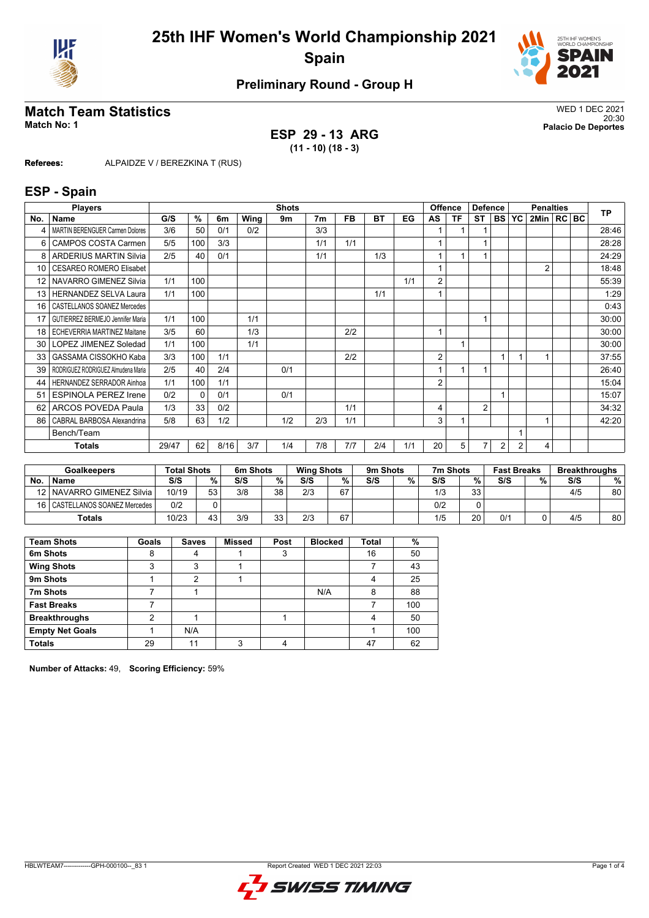



# **Match Team Statistics** WED 1 DEC 2021

**ESP 29 - 13 ARG (11 - 10) (18 - 3)**

20:30 **Match No: 1 Palacio De Deportes**

**Referees:** ALPAIDZE V / BEREZKINA T (RUS)

#### **ESP - Spain**

|     | <b>Players</b>                     |       |               |      |      | <b>Shots</b> |     |     |     |     |                | <b>Offence</b> | <b>Defence</b> |                |                | <b>Penalties</b> |      | <b>TP</b> |
|-----|------------------------------------|-------|---------------|------|------|--------------|-----|-----|-----|-----|----------------|----------------|----------------|----------------|----------------|------------------|------|-----------|
| No. | <b>Name</b>                        | G/S   | $\frac{9}{6}$ | 6m   | Wing | 9m           | 7m  | FB. | BT  | EG  | AS             | ΤF             | <b>ST</b>      | <b>BS</b>      | YC             | 2Min  RC         | IBC. |           |
|     | MARTIN BERENGUER Carmen Dolores    | 3/6   | 50            | 0/1  | 0/2  |              | 3/3 |     |     |     |                |                |                |                |                |                  |      | 28:46     |
| 6   | <b>CAMPOS COSTA Carmen</b>         | 5/5   | 100           | 3/3  |      |              | 1/1 | 1/1 |     |     |                |                | 1              |                |                |                  |      | 28:28     |
| 8   | <b>ARDERIUS MARTIN Silvia</b>      | 2/5   | 40            | 0/1  |      |              | 1/1 |     | 1/3 |     |                |                | 1              |                |                |                  |      | 24:29     |
| 10  | <b>CESAREO ROMERO Elisabet</b>     |       |               |      |      |              |     |     |     |     |                |                |                |                |                | $\overline{2}$   |      | 18:48     |
| 12  | NAVARRO GIMENEZ Silvia             | 1/1   | 100           |      |      |              |     |     |     | 1/1 | 2              |                |                |                |                |                  |      | 55:39     |
| 13  | <b>HERNANDEZ SELVA Laura</b>       | 1/1   | 100           |      |      |              |     |     | 1/1 |     |                |                |                |                |                |                  |      | 1:29      |
| 16  | CASTELLANOS SOANEZ Mercedes        |       |               |      |      |              |     |     |     |     |                |                |                |                |                |                  |      | 0:43      |
| 17  | GUTIERREZ BERMEJO Jennifer Maria   | 1/1   | 100           |      | 1/1  |              |     |     |     |     |                |                | ×              |                |                |                  |      | 30:00     |
| 18  | <b>ECHEVERRIA MARTINEZ Maitane</b> | 3/5   | 60            |      | 1/3  |              |     | 2/2 |     |     | $\overline{ }$ |                |                |                |                |                  |      | 30:00     |
| 30  | LOPEZ JIMENEZ Soledad              | 1/1   | 100           |      | 1/1  |              |     |     |     |     |                |                |                |                |                |                  |      | 30:00     |
| 33  | GASSAMA CISSOKHO Kaba              | 3/3   | 100           | 1/1  |      |              |     | 2/2 |     |     | 2              |                |                |                |                |                  |      | 37:55     |
| 39  | RODRIGUEZ RODRIGUEZ Almudena Maria | 2/5   | 40            | 2/4  |      | 0/1          |     |     |     |     |                |                |                |                |                |                  |      | 26:40     |
| 44  | HERNANDEZ SERRADOR Ainhoa          | 1/1   | 100           | 1/1  |      |              |     |     |     |     | $\overline{2}$ |                |                |                |                |                  |      | 15:04     |
| 51  | <b>ESPINOLA PEREZ Irene</b>        | 0/2   | $\Omega$      | 0/1  |      | 0/1          |     |     |     |     |                |                |                |                |                |                  |      | 15:07     |
| 62  | <b>ARCOS POVEDA Paula</b>          | 1/3   | 33            | 0/2  |      |              |     | 1/1 |     |     | 4              |                | $\overline{2}$ |                |                |                  |      | 34:32     |
| 86  | CABRAL BARBOSA Alexandrina         | 5/8   | 63            | 1/2  |      | 1/2          | 2/3 | 1/1 |     |     | 3              |                |                |                |                |                  |      | 42:20     |
|     | Bench/Team                         |       |               |      |      |              |     |     |     |     |                |                |                |                |                |                  |      |           |
|     | Totals                             | 29/47 | 62            | 8/16 | 3/7  | 1/4          | 7/8 | 7/7 | 2/4 | 1/1 | 20             | 5              | 7              | $\overline{2}$ | $\overline{2}$ | 4                |      |           |

| <b>Goalkeepers</b> |                                  | <b>Total Shots</b> |    | 6m Shots |          | <b>Wing Shots</b> |    | 9m Shots |   | 7m Shots |    | <b>Fast Breaks</b> |   | <b>Breakthroughs</b> |    |
|--------------------|----------------------------------|--------------------|----|----------|----------|-------------------|----|----------|---|----------|----|--------------------|---|----------------------|----|
| No.                | <b>Name</b>                      | S/S                | %. | S/S      | %        | S/S               | %  | S/S      | % | S/S      | %  | S/S                | % | S/S                  | %  |
|                    | 12   NAVARRO GIMENEZ Silvia      | 10/19              | 53 | 3/8      | 38       | 2/3               | 67 |          |   | 1/3      | 33 |                    |   | 4/5                  | 80 |
|                    | 16   CASTELLANOS SOANEZ Mercedes | 0/2                |    |          |          |                   |    |          |   | 0/2      |    |                    |   |                      |    |
|                    | Totals                           | 10/23              | 43 | 3/9      | 33<br>vu | 2/3               | 67 |          |   | 1/5      | 20 | 0/1                |   | 4/5                  | 80 |

| <b>Team Shots</b>      | Goals | <b>Saves</b> | <b>Missed</b> | Post | <b>Blocked</b> | <b>Total</b> | %   |
|------------------------|-------|--------------|---------------|------|----------------|--------------|-----|
| 6m Shots               | 8     | 4            |               | 3    |                | 16           | 50  |
| <b>Wing Shots</b>      | 3     | 3            |               |      |                |              | 43  |
| 9m Shots               |       | ົ            |               |      |                |              | 25  |
| 7m Shots               |       |              |               |      | N/A            | 8            | 88  |
| <b>Fast Breaks</b>     |       |              |               |      |                |              | 100 |
| <b>Breakthroughs</b>   | ◠     |              |               |      |                |              | 50  |
| <b>Empty Net Goals</b> |       | N/A          |               |      |                |              | 100 |
| <b>Totals</b>          | 29    | 11           | 3             | 4    |                | 47           | 62  |

**Number of Attacks:** 49, **Scoring Efficiency:** 59%

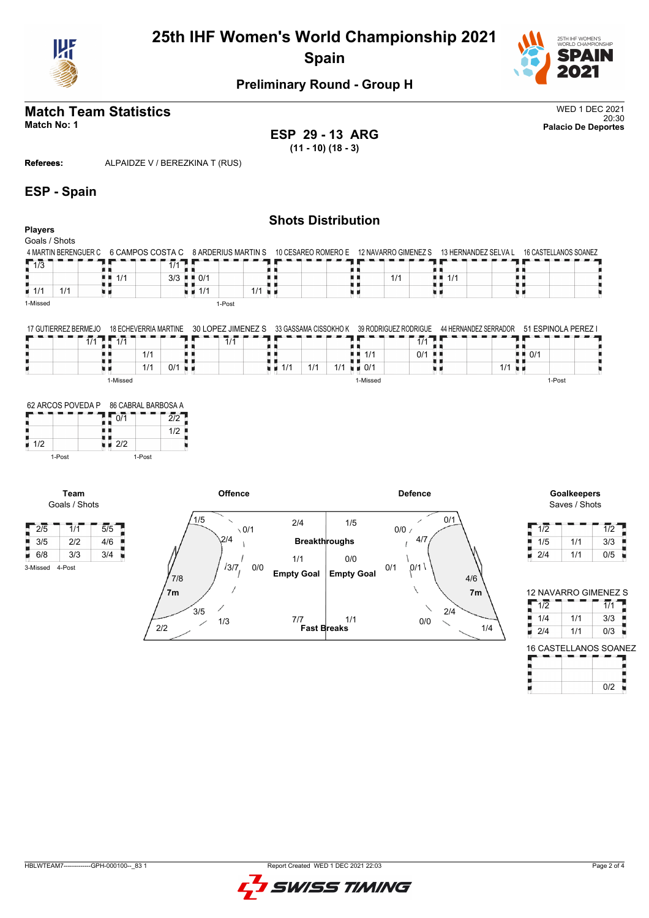



## **Match Team Statistics** WED 1 DEC 2021

**ESP 29 - 13 ARG (11 - 10) (18 - 3)**

20:30 **Match No: 1 Palacio De Deportes**

#### **Referees:** ALPAIDZE V / BEREZKINA T (RUS)

#### **ESP - Spain**

#### **Shots Distribution Players** Goals / Shots 4 MARTIN BERENGUER C 6 CAMPOS COSTA C 8 ARDERIUS MARTIN S 10 CESAREO ROMERO E 12 NAVARRO GIMENEZ S 13 HERNANDEZ SELVA L 16 CASTELLANOS SOANEZ  $1/3$ 1/1 3/3  $1/1$ 11<br>11<sup>11</sup> йĄ ji k A A ĵ, n n 1/1 H)  $\blacksquare$  0/1  $1/1$   $1/1$ ā r.  $1/1$  1/1 х. u a ù. υø 1-Missed 1-Post

17 GUTIERREZ BERMEJO 18 ECHEVERRIA MARTINE 30 LOPEZ JIMENEZ SO 33 GASSAMA CISSOKHO KO 39 RODRIGUEZ RODRIGUEZ 44 HERNANDEZ SERRADORO 151 ESPINOLA PEREZ I

| 111<br>111<br>17 L<br>- 17.           | 1/1                |                                                      | 111<br>$\mathbf{L}$                              |        |
|---------------------------------------|--------------------|------------------------------------------------------|--------------------------------------------------|--------|
| $\overline{A}$ $\overline{A}$<br>17 I |                    | 111                                                  | 0/1<br>$\blacksquare$ $\blacksquare$ 0/1<br>- 11 |        |
| <b>A</b> 14<br>.                      | $\bigcap$ /1<br>υı | 0/1<br>1/1<br>414<br>414<br>н<br>.<br>$\blacksquare$ | 414<br>.                                         |        |
| 1-Missed                              |                    | 1-Missed                                             |                                                  | 1-Post |

|        |        | 62 ARCOS POVEDA P 86 CABRAL BARBOSA A |  |  |  |  |  |
|--------|--------|---------------------------------------|--|--|--|--|--|
|        | 0/1    | 212                                   |  |  |  |  |  |
|        |        | 1/2                                   |  |  |  |  |  |
| 1/2    | 212    |                                       |  |  |  |  |  |
| 1-Post | 1-Post |                                       |  |  |  |  |  |

**Team**

3-Missed 4-Post



# Saves / Shots

| 1/2 |     | 1/2 |
|-----|-----|-----|
| 1/5 | 1/1 | 3/3 |
| 2/4 | 1/1 | 0/5 |

| 12 NAVARRO GIMENEZ S |     |                       |  |  |  |  |  |  |  |  |
|----------------------|-----|-----------------------|--|--|--|--|--|--|--|--|
| 1/2                  |     | 1/1                   |  |  |  |  |  |  |  |  |
| 1/4                  | 1/1 | 3/3                   |  |  |  |  |  |  |  |  |
| 2/4                  | 1/1 | 0/3                   |  |  |  |  |  |  |  |  |
|                      |     | 16 CASTELLANOS SOANEZ |  |  |  |  |  |  |  |  |

|  | 0/2 |  |
|--|-----|--|

HBLWTEAM7-------------GPH-000100--\_83 1 Report Created WED 1 DEC 2021 22:03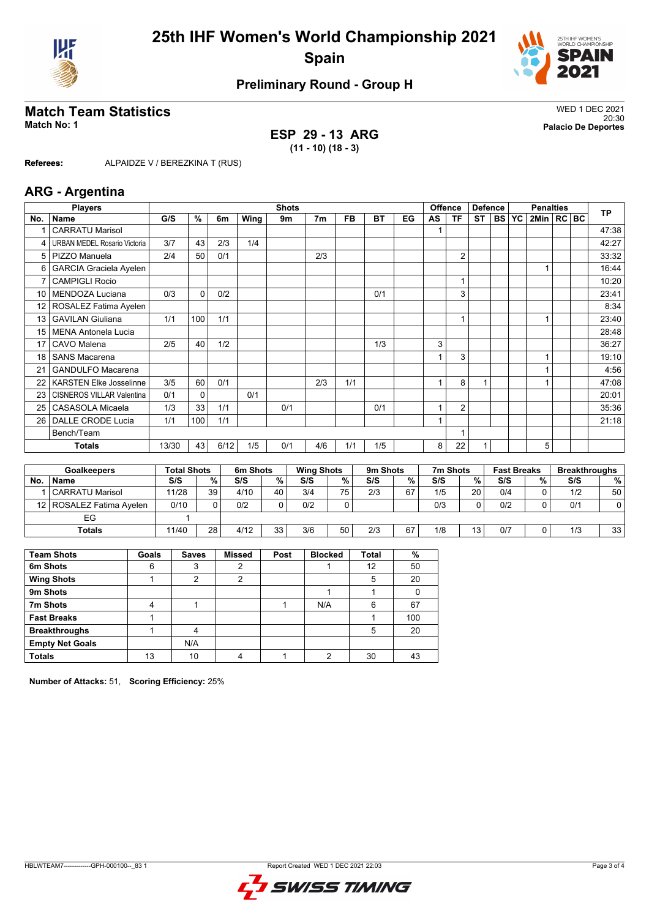



# **Match Team Statistics** WED 1 DEC 2021

**ESP 29 - 13 ARG (11 - 10) (18 - 3)**

20:30 **Match No: 1 Palacio De Deportes**

**Referees:** ALPAIDZE V / BEREZKINA T (RUS)

#### **ARG - Argentina**

|                                          | <b>Players</b>                      | <b>Shots</b>                             |          |                               |      |      |          |                |           | <b>Offence</b><br><b>Defence</b> |      |     | <b>Penalties</b>   |                          |              |   | <b>TP</b>            |  |     |       |
|------------------------------------------|-------------------------------------|------------------------------------------|----------|-------------------------------|------|------|----------|----------------|-----------|----------------------------------|------|-----|--------------------|--------------------------|--------------|---|----------------------|--|-----|-------|
| No.                                      | <b>Name</b>                         | G/S                                      | %        | 6m                            | Wing | 9m   |          | 7 <sub>m</sub> | <b>FB</b> | BT                               | EG   | AS  | <b>TF</b>          | <b>ST</b>                | <b>BS YC</b> |   | 2Min   RC   BC       |  |     |       |
|                                          | <b>CARRATU Marisol</b>              |                                          |          |                               |      |      |          |                |           |                                  |      |     |                    |                          |              |   |                      |  |     | 47:38 |
| 4                                        | <b>URBAN MEDEL Rosario Victoria</b> | 3/7                                      | 43       | 2/3                           | 1/4  |      |          |                |           |                                  |      |     |                    |                          |              |   |                      |  |     | 42:27 |
| 5                                        | PIZZO Manuela                       | 2/4                                      | 50       | 0/1                           |      |      |          | 2/3            |           |                                  |      |     | $\overline{2}$     |                          |              |   |                      |  |     | 33:32 |
| 6                                        | <b>GARCIA Graciela Ayelen</b>       |                                          |          |                               |      |      |          |                |           |                                  |      |     |                    |                          |              |   |                      |  |     | 16:44 |
| 7                                        | <b>CAMPIGLI Rocio</b>               |                                          |          |                               |      |      |          |                |           |                                  |      |     | 1                  |                          |              |   |                      |  |     | 10:20 |
| 10 <sup>1</sup>                          | <b>MENDOZA Luciana</b>              | 0/3                                      | $\Omega$ | 0/2                           |      |      |          |                |           | 0/1                              |      |     | 3                  |                          |              |   |                      |  |     | 23:41 |
| 12                                       | ROSALEZ Fatima Ayelen               |                                          |          |                               |      |      |          |                |           |                                  |      |     |                    |                          |              |   |                      |  |     | 8:34  |
| 13                                       | <b>GAVILAN Giuliana</b>             | 1/1                                      | 100      | 1/1                           |      |      |          |                |           |                                  |      |     | -1                 |                          |              |   |                      |  |     | 23:40 |
| 15                                       | <b>MENA Antonela Lucia</b>          |                                          |          |                               |      |      |          |                |           |                                  |      |     |                    |                          |              |   |                      |  |     | 28:48 |
| 17                                       | <b>CAVO Malena</b>                  | 2/5                                      | 40       | 1/2                           |      |      |          |                |           | 1/3                              |      | 3   |                    |                          |              |   |                      |  |     | 36:27 |
| 18                                       | <b>SANS Macarena</b>                |                                          |          |                               |      |      |          |                |           |                                  |      |     | 3                  |                          |              |   |                      |  |     | 19:10 |
| 21                                       | <b>GANDULFO Macarena</b>            |                                          |          |                               |      |      |          |                |           |                                  |      |     |                    |                          |              |   |                      |  |     | 4:56  |
| 22                                       | <b>KARSTEN Elke Josselinne</b>      | 3/5                                      | 60       | 0/1                           |      |      |          | 2/3            | 1/1       |                                  |      |     | 8                  | $\overline{ }$           |              |   |                      |  |     | 47:08 |
| 23                                       | <b>CISNEROS VILLAR Valentina</b>    | 0/1                                      | $\Omega$ |                               | 0/1  |      |          |                |           |                                  |      |     |                    |                          |              |   |                      |  |     | 20:01 |
| 25                                       | CASASOLA Micaela                    | 1/3                                      | 33       | 1/1                           |      | 0/1  |          |                |           | 0/1                              |      |     | $\overline{2}$     |                          |              |   |                      |  |     | 35:36 |
| 26                                       | <b>DALLE CRODE Lucia</b>            | 1/1                                      | 100      | 1/1                           |      |      |          |                |           |                                  |      |     |                    |                          |              |   |                      |  |     | 21:18 |
|                                          | Bench/Team                          |                                          |          |                               |      |      |          |                |           |                                  |      |     |                    |                          |              |   |                      |  |     |       |
|                                          | <b>Totals</b>                       | 13/30<br>43<br>1/5<br>0/1<br>6/12<br>4/6 |          |                               |      |      |          | 1/1            | 1/5       |                                  | 8    | 22  | 1                  |                          |              | 5 |                      |  |     |       |
|                                          |                                     |                                          |          |                               |      |      |          |                |           |                                  |      |     |                    |                          |              |   |                      |  |     |       |
| <b>Total Shots</b><br><b>Goalkeepers</b> |                                     |                                          |          | 6m Shots<br><b>Wing Shots</b> |      |      | 9m Shots |                | 7m Shots  |                                  |      |     | <b>Fast Breaks</b> |                          |              |   | <b>Breakthroughs</b> |  |     |       |
| No.                                      | <b>Name</b>                         | S/S                                      |          | $\%$                          | S/S  | $\%$ | S/S      |                | $\%$      | S/S                              | $\%$ | S/S |                    | $\overline{\frac{9}{6}}$ | S/S          |   | %                    |  | S/S | %     |

| No. | <b>Name</b>                | S/S   | %               | S/S  | %      | S/S | %⊣              | S/S | %  | S/S | %      | S/S | % | S/S | %  |
|-----|----------------------------|-------|-----------------|------|--------|-----|-----------------|-----|----|-----|--------|-----|---|-----|----|
|     | l CARRATU Marisol          | 11/28 | 39 <sub>1</sub> | 4/10 | 40     | 3/4 | 75 <sub>1</sub> | 2/3 | 67 | 1/5 | 20     | 0/4 |   | 1/2 | 50 |
|     | 12   ROSALEZ Fatima Avelen | 0/10  | 0               | 0/2  | $\sim$ | 0/2 | r               |     |    | 0/3 | ∩<br>U | 0/2 |   | 0/1 |    |
|     | EG                         |       |                 |      |        |     |                 |     |    |     |        |     |   |     |    |
|     | <b>Totals</b>              | 11/40 | 28              | 4/12 | 33     | 3/6 | 50              | 2/3 | 67 | 1/8 | 13     | 0/7 |   | 1/3 | 33 |
|     |                            |       |                 |      |        |     |                 |     |    |     |        |     |   |     |    |

| <b>Team Shots</b>      | Goals | <b>Saves</b> | <b>Missed</b> | Post | <b>Blocked</b> | <b>Total</b> | %   |
|------------------------|-------|--------------|---------------|------|----------------|--------------|-----|
| 6m Shots               | 6     | 3            |               |      |                | 12           | 50  |
| <b>Wing Shots</b>      |       | 2            | 2             |      |                | 5            | 20  |
| 9m Shots               |       |              |               |      |                |              |     |
| 7m Shots               |       |              |               |      | N/A            | 6            | 67  |
| <b>Fast Breaks</b>     |       |              |               |      |                |              | 100 |
| <b>Breakthroughs</b>   |       | 4            |               |      |                | 5            | 20  |
| <b>Empty Net Goals</b> |       | N/A          |               |      |                |              |     |
| <b>Totals</b>          | 13    | 10           |               |      | ◠              | 30           | 43  |

**Number of Attacks:** 51, **Scoring Efficiency:** 25%